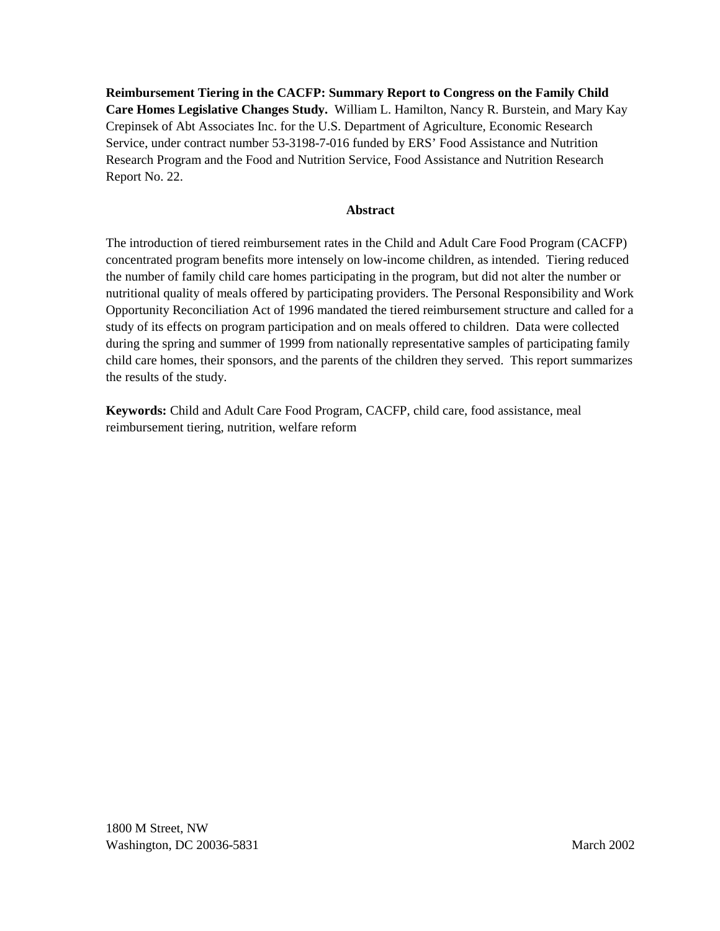**Reimbursement Tiering in the CACFP: Summary Report to Congress on the Family Child Care Homes Legislative Changes Study.** William L. Hamilton, Nancy R. Burstein, and Mary Kay Crepinsek of Abt Associates Inc. for the U.S. Department of Agriculture, Economic Research Service, under contract number 53-3198-7-016 funded by ERS' Food Assistance and Nutrition Research Program and the Food and Nutrition Service, Food Assistance and Nutrition Research Report No. 22.

#### **Abstract**

The introduction of tiered reimbursement rates in the Child and Adult Care Food Program (CACFP) concentrated program benefits more intensely on low-income children, as intended. Tiering reduced the number of family child care homes participating in the program, but did not alter the number or nutritional quality of meals offered by participating providers. The Personal Responsibility and Work Opportunity Reconciliation Act of 1996 mandated the tiered reimbursement structure and called for a study of its effects on program participation and on meals offered to children. Data were collected during the spring and summer of 1999 from nationally representative samples of participating family child care homes, their sponsors, and the parents of the children they served. This report summarizes the results of the study.

**Keywords:** Child and Adult Care Food Program, CACFP, child care, food assistance, meal reimbursement tiering, nutrition, welfare reform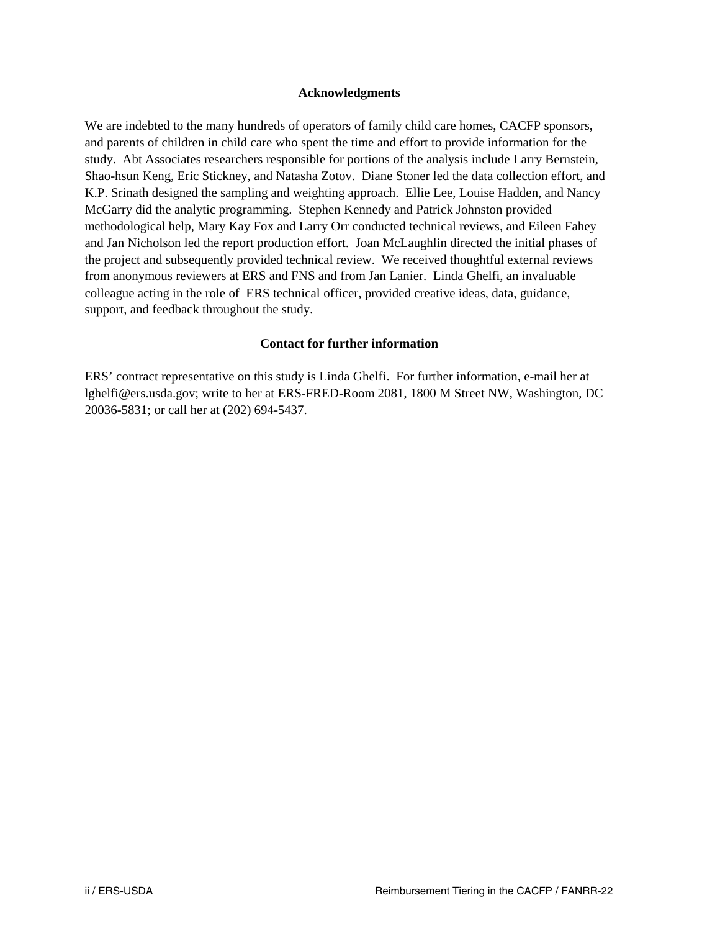#### **Acknowledgments**

We are indebted to the many hundreds of operators of family child care homes, CACFP sponsors, and parents of children in child care who spent the time and effort to provide information for the study. Abt Associates researchers responsible for portions of the analysis include Larry Bernstein, Shao-hsun Keng, Eric Stickney, and Natasha Zotov. Diane Stoner led the data collection effort, and K.P. Srinath designed the sampling and weighting approach. Ellie Lee, Louise Hadden, and Nancy McGarry did the analytic programming. Stephen Kennedy and Patrick Johnston provided methodological help, Mary Kay Fox and Larry Orr conducted technical reviews, and Eileen Fahey and Jan Nicholson led the report production effort. Joan McLaughlin directed the initial phases of the project and subsequently provided technical review. We received thoughtful external reviews from anonymous reviewers at ERS and FNS and from Jan Lanier. Linda Ghelfi, an invaluable colleague acting in the role of ERS technical officer, provided creative ideas, data, guidance, support, and feedback throughout the study.

#### **Contact for further information**

ERS' contract representative on this study is Linda Ghelfi. For further information, e-mail her at lghelfi@ers.usda.gov; write to her at ERS-FRED-Room 2081, 1800 M Street NW, Washington, DC 20036-5831; or call her at (202) 694-5437.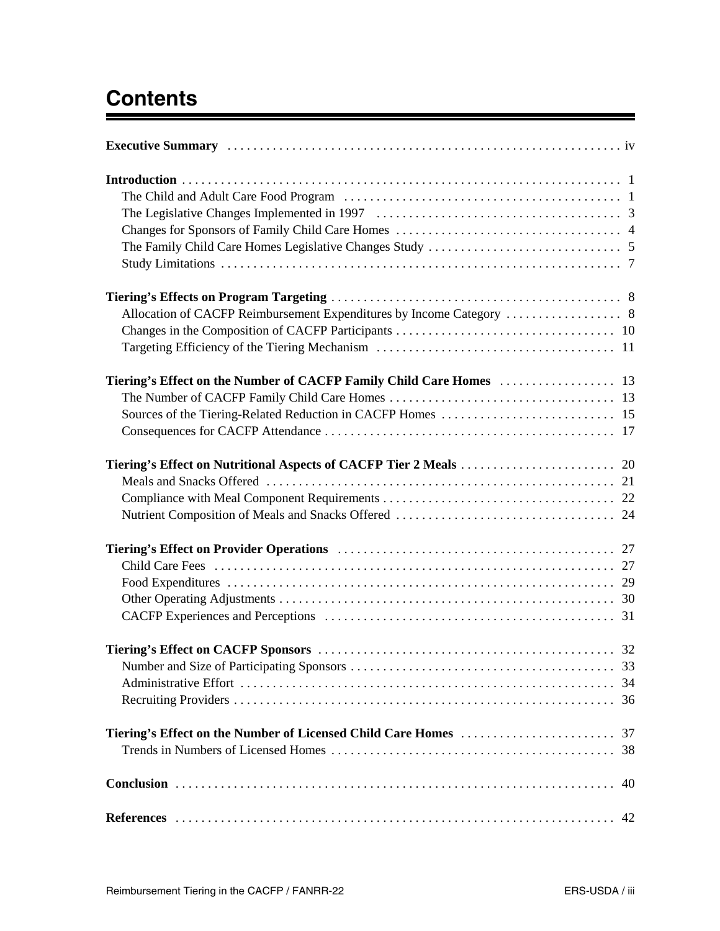# **Contents**

| Tiering's Effect on the Number of Licensed Child Care Homes<br>37 |
|-------------------------------------------------------------------|
| 40                                                                |
|                                                                   |

<u> 1980 - John Barnett, fransk kongresu</u>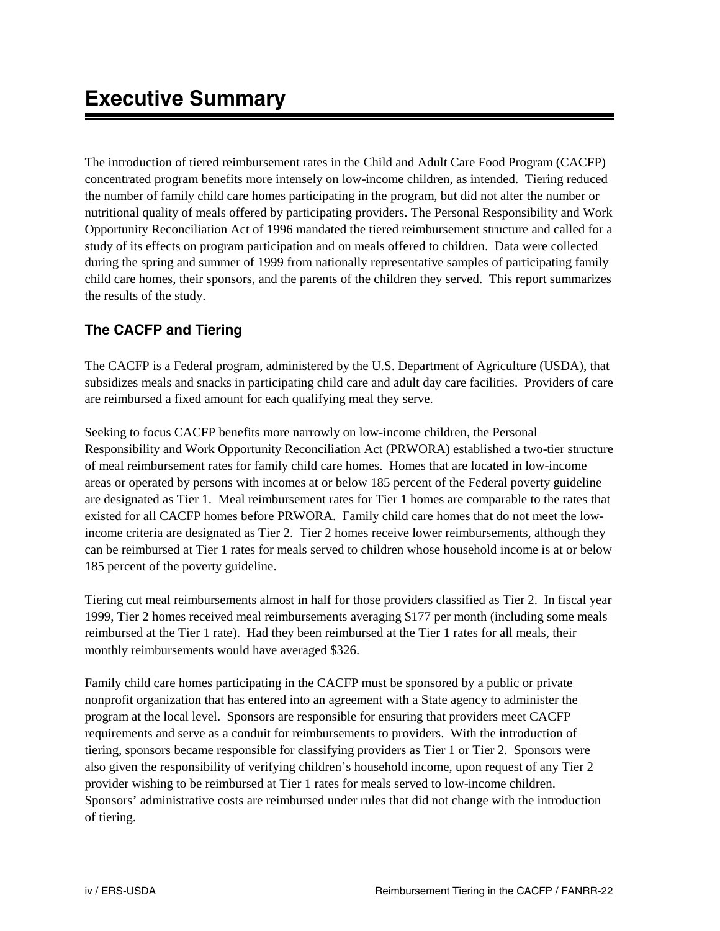The introduction of tiered reimbursement rates in the Child and Adult Care Food Program (CACFP) concentrated program benefits more intensely on low-income children, as intended. Tiering reduced the number of family child care homes participating in the program, but did not alter the number or nutritional quality of meals offered by participating providers. The Personal Responsibility and Work Opportunity Reconciliation Act of 1996 mandated the tiered reimbursement structure and called for a study of its effects on program participation and on meals offered to children. Data were collected during the spring and summer of 1999 from nationally representative samples of participating family child care homes, their sponsors, and the parents of the children they served. This report summarizes the results of the study.

# **The CACFP and Tiering**

The CACFP is a Federal program, administered by the U.S. Department of Agriculture (USDA), that subsidizes meals and snacks in participating child care and adult day care facilities. Providers of care are reimbursed a fixed amount for each qualifying meal they serve.

Seeking to focus CACFP benefits more narrowly on low-income children, the Personal Responsibility and Work Opportunity Reconciliation Act (PRWORA) established a two-tier structure of meal reimbursement rates for family child care homes. Homes that are located in low-income areas or operated by persons with incomes at or below 185 percent of the Federal poverty guideline are designated as Tier 1. Meal reimbursement rates for Tier 1 homes are comparable to the rates that existed for all CACFP homes before PRWORA. Family child care homes that do not meet the lowincome criteria are designated as Tier 2. Tier 2 homes receive lower reimbursements, although they can be reimbursed at Tier 1 rates for meals served to children whose household income is at or below 185 percent of the poverty guideline.

Tiering cut meal reimbursements almost in half for those providers classified as Tier 2. In fiscal year 1999, Tier 2 homes received meal reimbursements averaging \$177 per month (including some meals reimbursed at the Tier 1 rate). Had they been reimbursed at the Tier 1 rates for all meals, their monthly reimbursements would have averaged \$326.

Family child care homes participating in the CACFP must be sponsored by a public or private nonprofit organization that has entered into an agreement with a State agency to administer the program at the local level. Sponsors are responsible for ensuring that providers meet CACFP requirements and serve as a conduit for reimbursements to providers. With the introduction of tiering, sponsors became responsible for classifying providers as Tier 1 or Tier 2. Sponsors were also given the responsibility of verifying children's household income, upon request of any Tier 2 provider wishing to be reimbursed at Tier 1 rates for meals served to low-income children. Sponsors' administrative costs are reimbursed under rules that did not change with the introduction of tiering.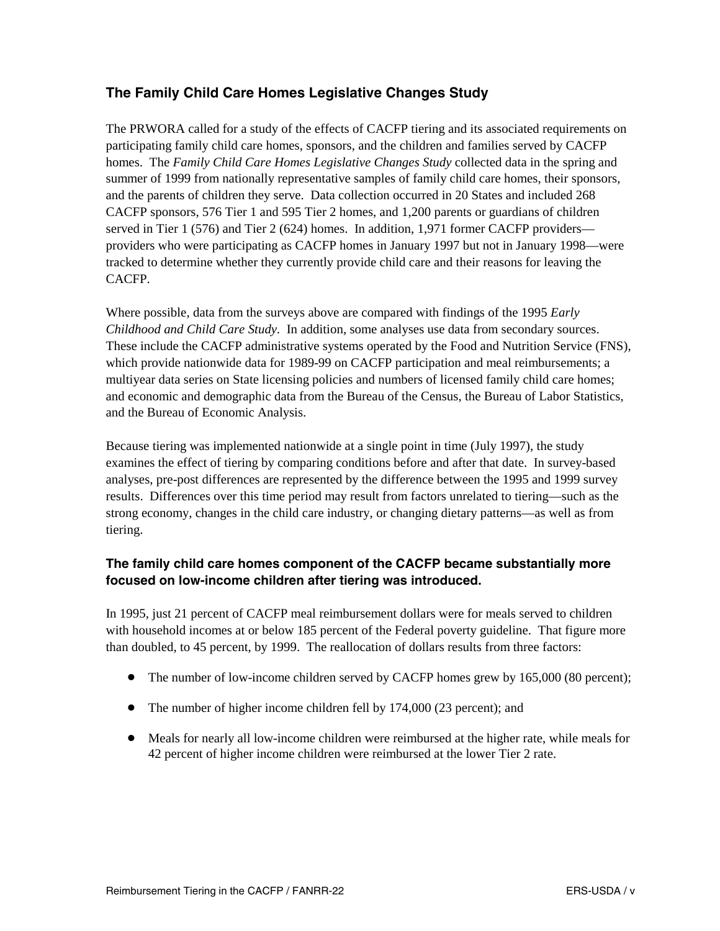# **The Family Child Care Homes Legislative Changes Study**

The PRWORA called for a study of the effects of CACFP tiering and its associated requirements on participating family child care homes, sponsors, and the children and families served by CACFP homes. The *Family Child Care Homes Legislative Changes Study* collected data in the spring and summer of 1999 from nationally representative samples of family child care homes, their sponsors, and the parents of children they serve. Data collection occurred in 20 States and included 268 CACFP sponsors, 576 Tier 1 and 595 Tier 2 homes, and 1,200 parents or guardians of children served in Tier 1 (576) and Tier 2 (624) homes. In addition, 1,971 former CACFP providers providers who were participating as CACFP homes in January 1997 but not in January 1998—were tracked to determine whether they currently provide child care and their reasons for leaving the CACFP.

Where possible, data from the surveys above are compared with findings of the 1995 *Early Childhood and Child Care Study.* In addition, some analyses use data from secondary sources. These include the CACFP administrative systems operated by the Food and Nutrition Service (FNS), which provide nationwide data for 1989-99 on CACFP participation and meal reimbursements; a multiyear data series on State licensing policies and numbers of licensed family child care homes; and economic and demographic data from the Bureau of the Census, the Bureau of Labor Statistics, and the Bureau of Economic Analysis.

Because tiering was implemented nationwide at a single point in time (July 1997), the study examines the effect of tiering by comparing conditions before and after that date. In survey-based analyses, pre-post differences are represented by the difference between the 1995 and 1999 survey results. Differences over this time period may result from factors unrelated to tiering—such as the strong economy, changes in the child care industry, or changing dietary patterns—as well as from tiering.

## **The family child care homes component of the CACFP became substantially more focused on low-income children after tiering was introduced.**

In 1995, just 21 percent of CACFP meal reimbursement dollars were for meals served to children with household incomes at or below 185 percent of the Federal poverty guideline. That figure more than doubled, to 45 percent, by 1999. The reallocation of dollars results from three factors:

- The number of low-income children served by CACFP homes grew by 165,000 (80 percent);
- The number of higher income children fell by 174,000 (23 percent); and
- Meals for nearly all low-income children were reimbursed at the higher rate, while meals for 42 percent of higher income children were reimbursed at the lower Tier 2 rate.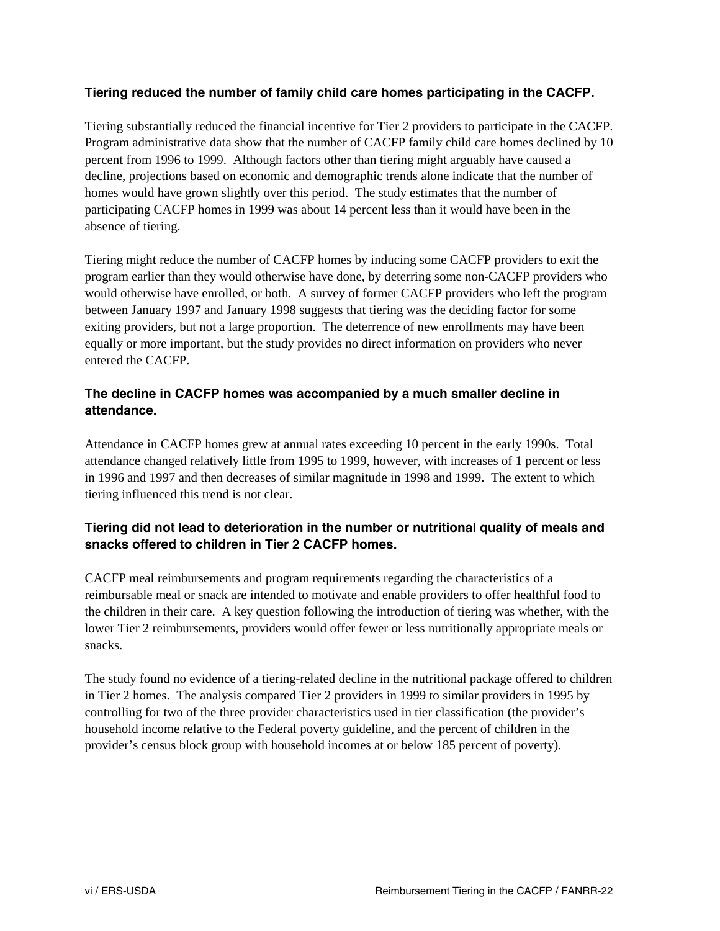## **Tiering reduced the number of family child care homes participating in the CACFP.**

Tiering substantially reduced the financial incentive for Tier 2 providers to participate in the CACFP. Program administrative data show that the number of CACFP family child care homes declined by 10 percent from 1996 to 1999. Although factors other than tiering might arguably have caused a decline, projections based on economic and demographic trends alone indicate that the number of homes would have grown slightly over this period. The study estimates that the number of participating CACFP homes in 1999 was about 14 percent less than it would have been in the absence of tiering.

Tiering might reduce the number of CACFP homes by inducing some CACFP providers to exit the program earlier than they would otherwise have done, by deterring some non-CACFP providers who would otherwise have enrolled, or both. A survey of former CACFP providers who left the program between January 1997 and January 1998 suggests that tiering was the deciding factor for some exiting providers, but not a large proportion. The deterrence of new enrollments may have been equally or more important, but the study provides no direct information on providers who never entered the CACFP.

### **The decline in CACFP homes was accompanied by a much smaller decline in attendance.**

Attendance in CACFP homes grew at annual rates exceeding 10 percent in the early 1990s. Total attendance changed relatively little from 1995 to 1999, however, with increases of 1 percent or less in 1996 and 1997 and then decreases of similar magnitude in 1998 and 1999. The extent to which tiering influenced this trend is not clear.

## **Tiering did not lead to deterioration in the number or nutritional quality of meals and snacks offered to children in Tier 2 CACFP homes.**

CACFP meal reimbursements and program requirements regarding the characteristics of a reimbursable meal or snack are intended to motivate and enable providers to offer healthful food to the children in their care. A key question following the introduction of tiering was whether, with the lower Tier 2 reimbursements, providers would offer fewer or less nutritionally appropriate meals or snacks.

The study found no evidence of a tiering-related decline in the nutritional package offered to children in Tier 2 homes. The analysis compared Tier 2 providers in 1999 to similar providers in 1995 by controlling for two of the three provider characteristics used in tier classification (the provider's household income relative to the Federal poverty guideline, and the percent of children in the provider's census block group with household incomes at or below 185 percent of poverty).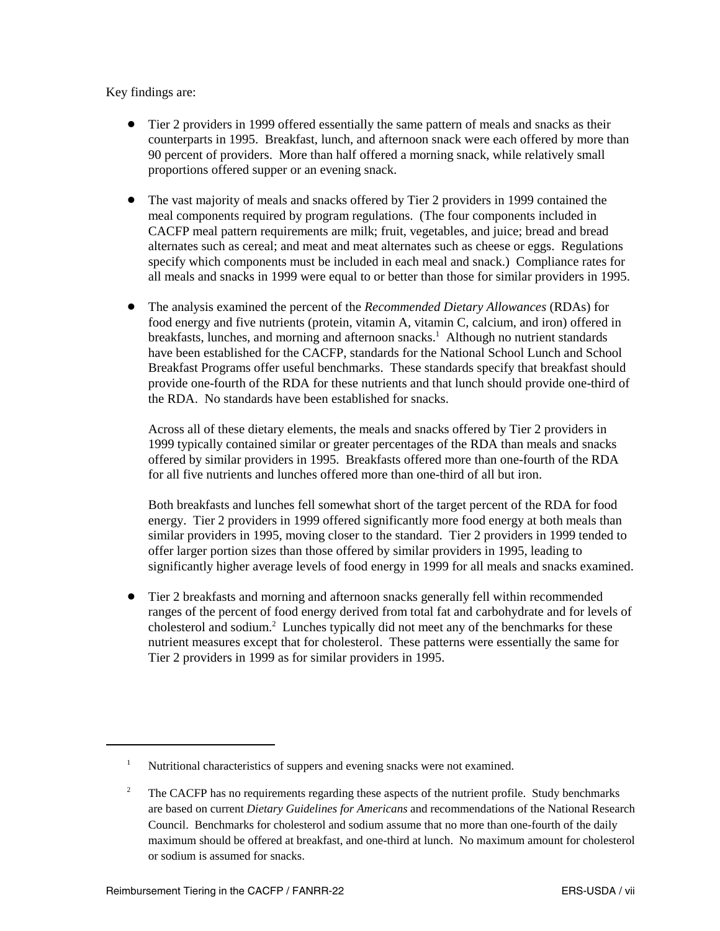#### Key findings are:

- Tier 2 providers in 1999 offered essentially the same pattern of meals and snacks as their counterparts in 1995. Breakfast, lunch, and afternoon snack were each offered by more than 90 percent of providers. More than half offered a morning snack, while relatively small proportions offered supper or an evening snack.
- The vast majority of meals and snacks offered by Tier 2 providers in 1999 contained the meal components required by program regulations. (The four components included in CACFP meal pattern requirements are milk; fruit, vegetables, and juice; bread and bread alternates such as cereal; and meat and meat alternates such as cheese or eggs. Regulations specify which components must be included in each meal and snack.) Compliance rates for all meals and snacks in 1999 were equal to or better than those for similar providers in 1995.
- The analysis examined the percent of the *Recommended Dietary Allowances* (RDAs) for food energy and five nutrients (protein, vitamin A, vitamin C, calcium, and iron) offered in breakfasts, lunches, and morning and afternoon snacks.<sup>1</sup> Although no nutrient standards have been established for the CACFP, standards for the National School Lunch and School Breakfast Programs offer useful benchmarks. These standards specify that breakfast should provide one-fourth of the RDA for these nutrients and that lunch should provide one-third of the RDA. No standards have been established for snacks.

Across all of these dietary elements, the meals and snacks offered by Tier 2 providers in 1999 typically contained similar or greater percentages of the RDA than meals and snacks offered by similar providers in 1995. Breakfasts offered more than one-fourth of the RDA for all five nutrients and lunches offered more than one-third of all but iron.

Both breakfasts and lunches fell somewhat short of the target percent of the RDA for food energy. Tier 2 providers in 1999 offered significantly more food energy at both meals than similar providers in 1995, moving closer to the standard. Tier 2 providers in 1999 tended to offer larger portion sizes than those offered by similar providers in 1995, leading to significantly higher average levels of food energy in 1999 for all meals and snacks examined.

 Tier 2 breakfasts and morning and afternoon snacks generally fell within recommended ranges of the percent of food energy derived from total fat and carbohydrate and for levels of cholesterol and sodium.<sup>2</sup> Lunches typically did not meet any of the benchmarks for these nutrient measures except that for cholesterol. These patterns were essentially the same for Tier 2 providers in 1999 as for similar providers in 1995.

<sup>&</sup>lt;sup>1</sup> Nutritional characteristics of suppers and evening snacks were not examined.

<sup>&</sup>lt;sup>2</sup> The CACFP has no requirements regarding these aspects of the nutrient profile. Study benchmarks are based on current *Dietary Guidelines for Americans* and recommendations of the National Research Council. Benchmarks for cholesterol and sodium assume that no more than one-fourth of the daily maximum should be offered at breakfast, and one-third at lunch. No maximum amount for cholesterol or sodium is assumed for snacks.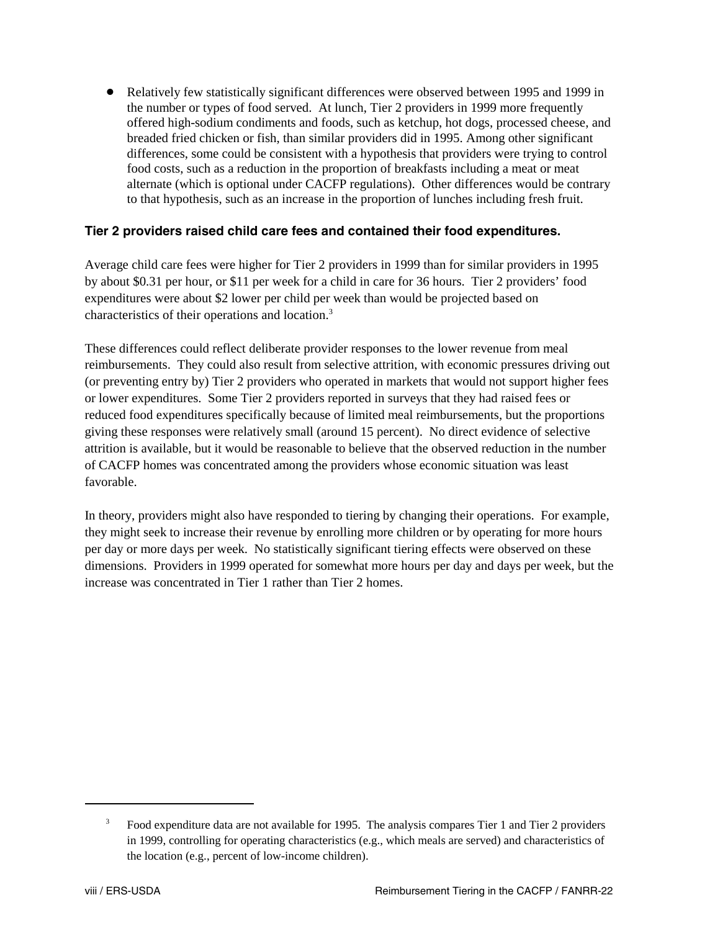Relatively few statistically significant differences were observed between 1995 and 1999 in the number or types of food served. At lunch, Tier 2 providers in 1999 more frequently offered high-sodium condiments and foods, such as ketchup, hot dogs, processed cheese, and breaded fried chicken or fish, than similar providers did in 1995. Among other significant differences, some could be consistent with a hypothesis that providers were trying to control food costs, such as a reduction in the proportion of breakfasts including a meat or meat alternate (which is optional under CACFP regulations). Other differences would be contrary to that hypothesis, such as an increase in the proportion of lunches including fresh fruit.

#### **Tier 2 providers raised child care fees and contained their food expenditures.**

Average child care fees were higher for Tier 2 providers in 1999 than for similar providers in 1995 by about \$0.31 per hour, or \$11 per week for a child in care for 36 hours. Tier 2 providers' food expenditures were about \$2 lower per child per week than would be projected based on characteristics of their operations and location.3

These differences could reflect deliberate provider responses to the lower revenue from meal reimbursements. They could also result from selective attrition, with economic pressures driving out (or preventing entry by) Tier 2 providers who operated in markets that would not support higher fees or lower expenditures. Some Tier 2 providers reported in surveys that they had raised fees or reduced food expenditures specifically because of limited meal reimbursements, but the proportions giving these responses were relatively small (around 15 percent). No direct evidence of selective attrition is available, but it would be reasonable to believe that the observed reduction in the number of CACFP homes was concentrated among the providers whose economic situation was least favorable.

In theory, providers might also have responded to tiering by changing their operations. For example, they might seek to increase their revenue by enrolling more children or by operating for more hours per day or more days per week. No statistically significant tiering effects were observed on these dimensions. Providers in 1999 operated for somewhat more hours per day and days per week, but the increase was concentrated in Tier 1 rather than Tier 2 homes.

<sup>3</sup> Food expenditure data are not available for 1995. The analysis compares Tier 1 and Tier 2 providers in 1999, controlling for operating characteristics (e.g., which meals are served) and characteristics of the location (e.g., percent of low-income children).